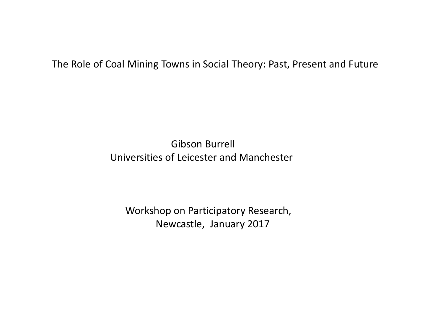The Role of Coal Mining Towns in Social Theory: Past, Present and Future

Gibson Burrell Universities of Leicester and Manchester

Workshop on Participatory Research, Newcastle, January 2017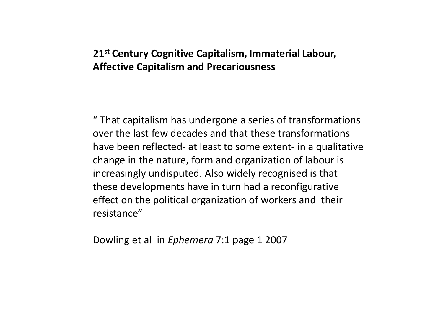# **21st Century Cognitive Capitalism, Immaterial Labour, Affective Capitalism and Precariousness**

" That capitalism has undergone a series of transformations over the last few decades and that these transformations have been reflected- at least to some extent- in a qualitative change in the nature, form and organization of labour is increasingly undisputed. Also widely recognised is that these developments have in turn had a reconfigurative effect on the political organization of workers and their resistance"

Dowling et al in *Ephemera* 7:1 page 1 2007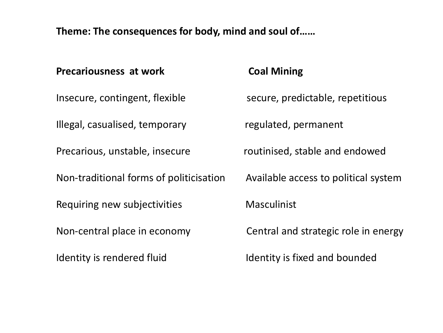**Theme: The consequences for body, mind and soul of……**

| <b>Precariousness at work</b>           | <b>Coal Mining</b>                   |
|-----------------------------------------|--------------------------------------|
| Insecure, contingent, flexible          | secure, predictable, repetitious     |
| Illegal, casualised, temporary          | regulated, permanent                 |
| Precarious, unstable, insecure          | routinised, stable and endowed       |
| Non-traditional forms of politicisation | Available access to political system |
| Requiring new subjectivities            | <b>Masculinist</b>                   |
| Non-central place in economy            | Central and strategic role in energy |
| Identity is rendered fluid              | Identity is fixed and bounded        |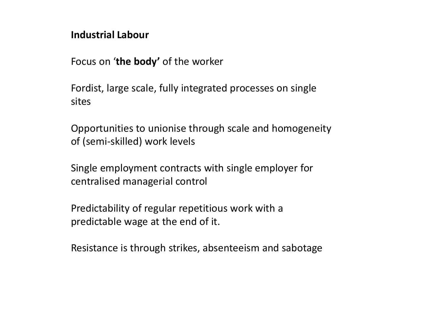## **Industrial Labour**

Focus on '**the body'** of the worker

Fordist, large scale, fully integrated processes on single sites

Opportunities to unionise through scale and homogeneity of (semi-skilled) work levels

Single employment contracts with single employer for centralised managerial control

Predictability of regular repetitious work with a predictable wage at the end of it.

Resistance is through strikes, absenteeism and sabotage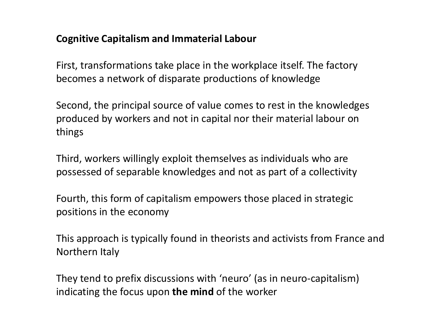## **Cognitive Capitalism and Immaterial Labour**

First, transformations take place in the workplace itself. The factory becomes a network of disparate productions of knowledge

Second, the principal source of value comes to rest in the knowledges produced by workers and not in capital nor their material labour on things

Third, workers willingly exploit themselves as individuals who are possessed of separable knowledges and not as part of a collectivity

Fourth, this form of capitalism empowers those placed in strategic positions in the economy

This approach is typically found in theorists and activists from France and Northern Italy

They tend to prefix discussions with 'neuro' (as in neuro-capitalism) indicating the focus upon **the mind** of the worker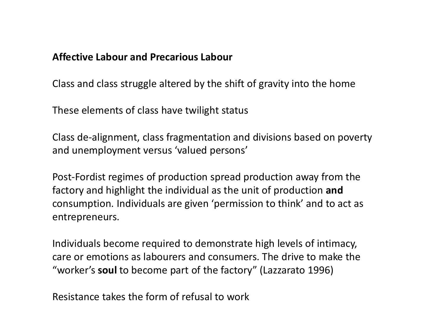#### **Affective Labour and Precarious Labour**

Class and class struggle altered by the shift of gravity into the home

These elements of class have twilight status

Class de-alignment, class fragmentation and divisions based on poverty and unemployment versus 'valued persons'

Post-Fordist regimes of production spread production away from the factory and highlight the individual as the unit of production **and** consumption. Individuals are given 'permission to think' and to act as entrepreneurs.

Individuals become required to demonstrate high levels of intimacy, care or emotions as labourers and consumers. The drive to make the "worker's **soul** to become part of the factory" (Lazzarato 1996)

Resistance takes the form of refusal to work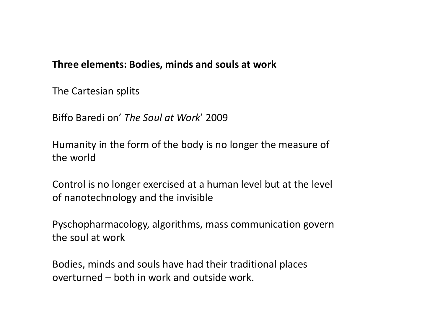## **Three elements: Bodies, minds and souls at work**

The Cartesian splits

Biffo Baredi on' *The Soul at Work*' 2009

Humanity in the form of the body is no longer the measure of the world

Control is no longer exercised at a human level but at the level of nanotechnology and the invisible

Pyschopharmacology, algorithms, mass communication govern the soul at work

Bodies, minds and souls have had their traditional places overturned – both in work and outside work.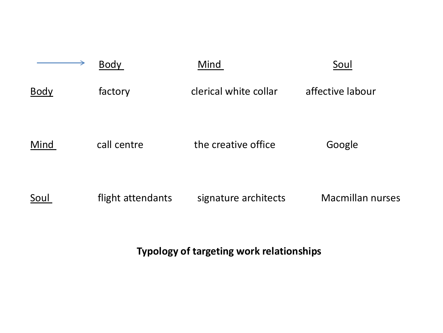|             | <b>Body</b>       | Mind                  | Soul                    |
|-------------|-------------------|-----------------------|-------------------------|
| <b>Body</b> | factory           | clerical white collar | affective labour        |
| Mind        | call centre       | the creative office   | Google                  |
| Soul        | flight attendants | signature architects  | <b>Macmillan nurses</b> |

**Typology of targeting work relationships**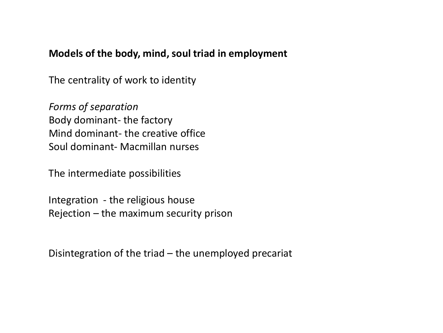## **Models of the body, mind, soul triad in employment**

The centrality of work to identity

*Forms of separation* Body dominant- the factory Mind dominant- the creative office Soul dominant- Macmillan nurses

The intermediate possibilities

Integration - the religious house Rejection – the maximum security prison

Disintegration of the triad – the unemployed precariat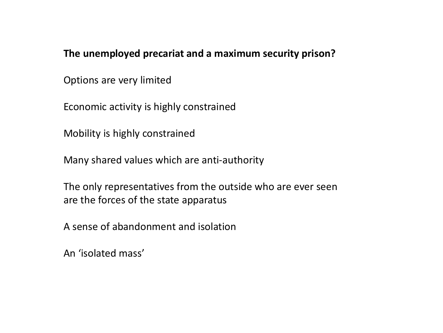**The unemployed precariat and a maximum security prison?**

Options are very limited

Economic activity is highly constrained

Mobility is highly constrained

Many shared values which are anti-authority

The only representatives from the outside who are ever seen are the forces of the state apparatus

A sense of abandonment and isolation

An 'isolated mass'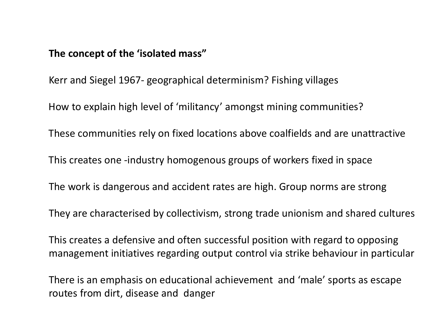#### **The concept of the 'isolated mass"**

Kerr and Siegel 1967- geographical determinism? Fishing villages

How to explain high level of 'militancy' amongst mining communities?

These communities rely on fixed locations above coalfields and are unattractive

This creates one -industry homogenous groups of workers fixed in space

The work is dangerous and accident rates are high. Group norms are strong

They are characterised by collectivism, strong trade unionism and shared cultures

This creates a defensive and often successful position with regard to opposing management initiatives regarding output control via strike behaviour in particular

There is an emphasis on educational achievement and 'male' sports as escape routes from dirt, disease and danger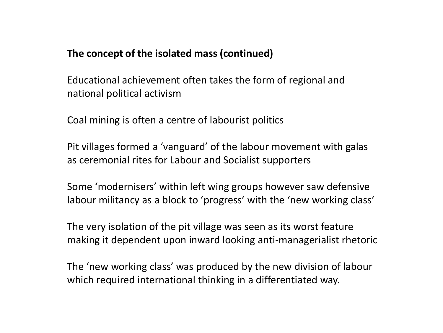## **The concept of the isolated mass (continued)**

Educational achievement often takes the form of regional and national political activism

Coal mining is often a centre of labourist politics

Pit villages formed a 'vanguard' of the labour movement with galas as ceremonial rites for Labour and Socialist supporters

Some 'modernisers' within left wing groups however saw defensive labour militancy as a block to 'progress' with the 'new working class'

The very isolation of the pit village was seen as its worst feature making it dependent upon inward looking anti-managerialist rhetoric

The 'new working class' was produced by the new division of labour which required international thinking in a differentiated way.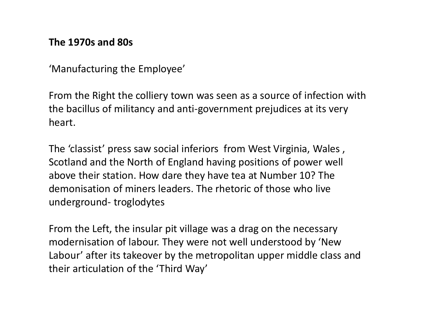#### **The 1970s and 80s**

'Manufacturing the Employee'

From the Right the colliery town was seen as a source of infection with the bacillus of militancy and anti-government prejudices at its very heart.

The 'classist' press saw social inferiors from West Virginia, Wales , Scotland and the North of England having positions of power well above their station. How dare they have tea at Number 10? The demonisation of miners leaders. The rhetoric of those who live underground- troglodytes

From the Left, the insular pit village was a drag on the necessary modernisation of labour. They were not well understood by 'New Labour' after its takeover by the metropolitan upper middle class and their articulation of the 'Third Way'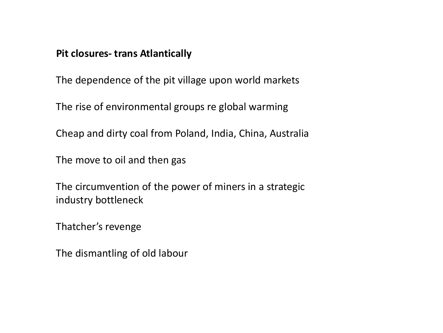#### **Pit closures- trans Atlantically**

The dependence of the pit village upon world markets

The rise of environmental groups re global warming

Cheap and dirty coal from Poland, India, China, Australia

The move to oil and then gas

The circumvention of the power of miners in a strategic industry bottleneck

Thatcher's revenge

The dismantling of old labour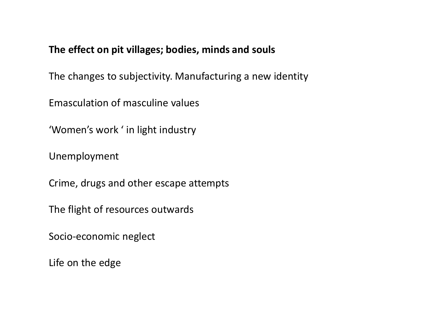# **The effect on pit villages; bodies, minds and souls**

The changes to subjectivity. Manufacturing a new identity

Emasculation of masculine values

'Women's work ' in light industry

Unemployment

Crime, drugs and other escape attempts

The flight of resources outwards

Socio-economic neglect

Life on the edge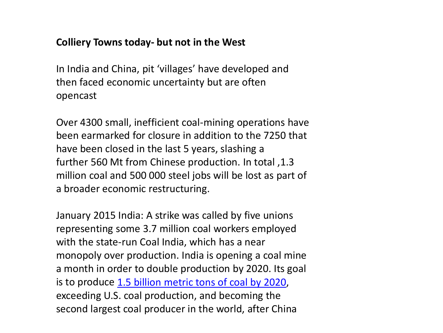## **Colliery Towns today- but not in the West**

In India and China, pit 'villages' have developed and then faced economic uncertainty but are often opencast

Over 4300 small, inefficient coal-mining operations have been earmarked for closure in addition to the 7250 that have been closed in the last 5 years, slashing a further 560 Mt from Chinese production. In total ,1.3 million coal and 500 000 steel jobs will be lost as part of a broader economic restructuring.

January 2015 India: A strike was called by five unions representing some 3.7 million coal workers employed with the state-run Coal India, which has a near monopoly over production. India is opening a coal mine a month in order to double production by 2020. Its goal is to produce [1.5 billion metric tons of coal by 2020](http://uk.reuters.com/article/2015/10/06/us-asia-coal-climatechange-idUKKCN0RZ2G020151006), exceeding U.S. coal production, and becoming the second largest coal producer in the world, after China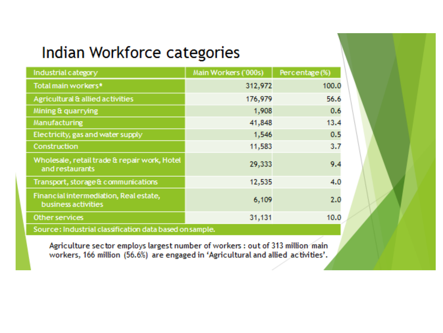# Indian Workforce categories

| Industrial category                                             | Main Workers ('000s) | Percentage (%) |  |  |
|-----------------------------------------------------------------|----------------------|----------------|--|--|
| Total main workers*                                             | 312,972              | 100.0          |  |  |
| Agricultural & allied activities                                | 176,979              | 56.6           |  |  |
| Mining & quarrying                                              | 1,908                | 0.6            |  |  |
| Manufacturing                                                   | 41,848               | 13.4           |  |  |
| Electricity, gas and water supply                               | 1,546                | 0.5            |  |  |
| Construction                                                    | 11,583               | 3.7            |  |  |
| Wholesale, retail trade & repair work, Hotel<br>and restaurants | 29,333               | 9.4            |  |  |
| Transport, storage & communications                             | 12,535               | 4.0            |  |  |
| Financial intermediation, Real estate,<br>business activities   | 6,109                | 2.0            |  |  |
| Other services                                                  | 31,131               | 10.0           |  |  |
| Source: Industrial classification data based on sample.         |                      |                |  |  |

Agriculture sector employs largest number of workers : out of 313 million main workers, 166 million (56.6%) are engaged in 'Agricultural and allied activities'.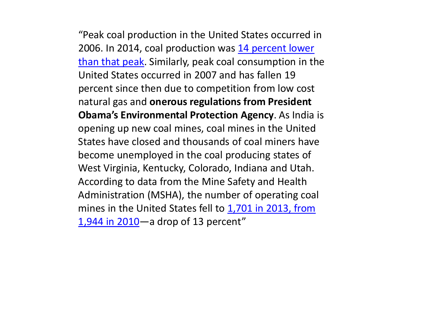"Peak coal production in the United States occurred in 2006. In 2014, coal production was 14 percent lower [than that peak. Similarly, peak coal consumption in th](http://www.eia.gov/totalenergy/data/monthly/pdf/sec6_3.pdf)e United States occurred in 2007 and has fallen 19 percent since then due to competition from low cost natural gas and **onerous regulations from President Obama's Environmental Protection Agency**. As India is opening up new coal mines, coal mines in the United States have closed and thousands of coal miners have become unemployed in the coal producing states of West Virginia, Kentucky, Colorado, Indiana and Utah. According to data from the Mine Safety and Health Administration (MSHA), the number of operating coal [mines in the United States fell to 1,701 in 2013, from](https://www.wsws.org/en/articles/2015/01/13/coal-j13.html) 1,944 in 2010—a drop of 13 percent"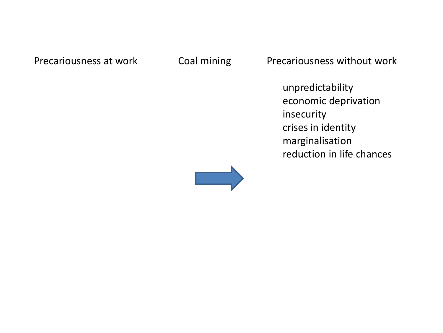Precariousness at work Coal mining Precariousness without work

unpredictability economic deprivation insecurity crises in identity marginalisation reduction in life chances

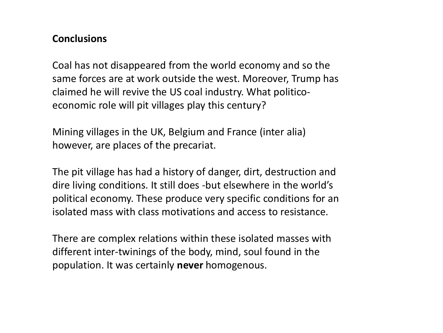#### **Conclusions**

Coal has not disappeared from the world economy and so the same forces are at work outside the west. Moreover, Trump has claimed he will revive the US coal industry. What politicoeconomic role will pit villages play this century?

Mining villages in the UK, Belgium and France (inter alia) however, are places of the precariat.

The pit village has had a history of danger, dirt, destruction and dire living conditions. It still does -but elsewhere in the world's political economy. These produce very specific conditions for an isolated mass with class motivations and access to resistance.

There are complex relations within these isolated masses with different inter-twinings of the body, mind, soul found in the population. It was certainly **never** homogenous.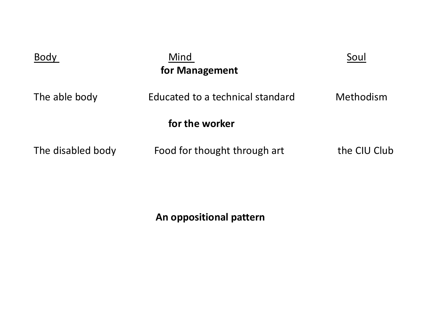| Body              | Mind<br>for Management           | Soul         |
|-------------------|----------------------------------|--------------|
| The able body     | Educated to a technical standard | Methodism    |
|                   | for the worker                   |              |
| The disabled body | Food for thought through art     | the CIU Club |

**An oppositional pattern**